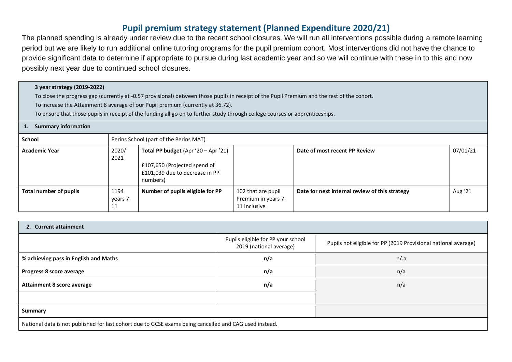## **Pupil premium strategy statement (Planned Expenditure 2020/21)**

The planned spending is already under review due to the recent school closures. We will run all interventions possible during a remote learning period but we are likely to run additional online tutoring programs for the pupil premium cohort. Most interventions did not have the chance to provide significant data to determine if appropriate to pursue during last academic year and so we will continue with these in to this and now possibly next year due to continued school closures.

## **3 year strategy (2019-2022)**

To close the progress gap (currently at -0.57 provisional) between those pupils in receipt of the Pupil Premium and the rest of the cohort.

To increase the Attainment 8 average of our Pupil premium (currently at 36.72).

To ensure that those pupils in receipt of the funding all go on to further study through college courses or apprenticeships.

## **1. Summary information**

| <b>School</b>          |                        | Perins School (part of the Perins MAT)                                                                            |                                                           |                                                |          |  |  |
|------------------------|------------------------|-------------------------------------------------------------------------------------------------------------------|-----------------------------------------------------------|------------------------------------------------|----------|--|--|
| <b>Academic Year</b>   | 2020/<br>2021          | Total PP budget $(Apr'20 - Apr'21)$<br>£107,650 (Projected spend of<br>£101,039 due to decrease in PP<br>numbers) |                                                           | Date of most recent PP Review                  | 07/01/21 |  |  |
| Total number of pupils | 1194<br>years 7-<br>11 | Number of pupils eligible for PP                                                                                  | 102 that are pupil<br>Premium in years 7-<br>11 Inclusive | Date for next internal review of this strategy | Aug '21  |  |  |

| 2. Current attainment                                                                                  |                                                               |                                                                |  |  |  |
|--------------------------------------------------------------------------------------------------------|---------------------------------------------------------------|----------------------------------------------------------------|--|--|--|
|                                                                                                        | Pupils eligible for PP your school<br>2019 (national average) | Pupils not eligible for PP (2019 Provisional national average) |  |  |  |
| % achieving pass in English and Maths                                                                  | n/a                                                           | $n$ .a                                                         |  |  |  |
| Progress 8 score average                                                                               | n/a                                                           | n/a                                                            |  |  |  |
| <b>Attainment 8 score average</b>                                                                      | n/a                                                           | n/a                                                            |  |  |  |
|                                                                                                        |                                                               |                                                                |  |  |  |
| <b>Summary</b>                                                                                         |                                                               |                                                                |  |  |  |
| National data is not published for last cohort due to GCSE exams being cancelled and CAG used instead. |                                                               |                                                                |  |  |  |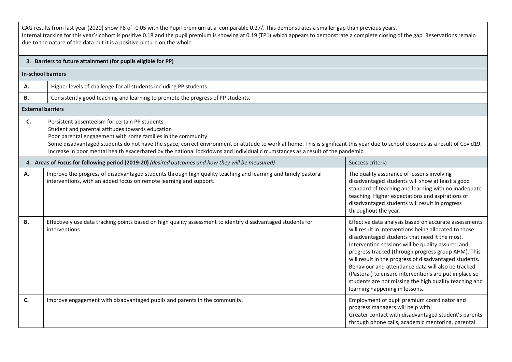CAG results from last year (2020) show P8 of -0.05 with the Pupil premium at a comparable 0.27/. This demonstrates a smaller gap than previous years. Internal tracking for this year's cohort is positive 0.18 and the pupil premium is showing at 0.19 (TP1) which appears to demonstrate a complete closing of the gap. Reservations remain due to the nature of the data but it is a positive picture on the whole.

| 3. Barriers to future attainment (for pupils eligible for PP) |                                                                                                                                                                                                                                                                                                                                                                                                                                                                                           |                                                                                                                                                                                                                                                                                                                                                                                                                                                                                                                                                   |  |  |  |  |
|---------------------------------------------------------------|-------------------------------------------------------------------------------------------------------------------------------------------------------------------------------------------------------------------------------------------------------------------------------------------------------------------------------------------------------------------------------------------------------------------------------------------------------------------------------------------|---------------------------------------------------------------------------------------------------------------------------------------------------------------------------------------------------------------------------------------------------------------------------------------------------------------------------------------------------------------------------------------------------------------------------------------------------------------------------------------------------------------------------------------------------|--|--|--|--|
|                                                               | <b>In-school barriers</b>                                                                                                                                                                                                                                                                                                                                                                                                                                                                 |                                                                                                                                                                                                                                                                                                                                                                                                                                                                                                                                                   |  |  |  |  |
| Α.                                                            | Higher levels of challenge for all students including PP students.                                                                                                                                                                                                                                                                                                                                                                                                                        |                                                                                                                                                                                                                                                                                                                                                                                                                                                                                                                                                   |  |  |  |  |
| В.                                                            | Consistently good teaching and learning to promote the progress of PP students.                                                                                                                                                                                                                                                                                                                                                                                                           |                                                                                                                                                                                                                                                                                                                                                                                                                                                                                                                                                   |  |  |  |  |
| <b>External barriers</b>                                      |                                                                                                                                                                                                                                                                                                                                                                                                                                                                                           |                                                                                                                                                                                                                                                                                                                                                                                                                                                                                                                                                   |  |  |  |  |
| C.                                                            | Persistent absenteeism for certain PP students<br>Student and parental attitudes towards education<br>Poor parental engagement with some families in the community.<br>Some disadvantaged students do not have the space, correct environment or attitude to work at home. This is significant this year due to school closures as a result of Covid19.<br>Increase in poor mental health exacerbated by the national lockdowns and individual circumstances as a result of the pandemic. |                                                                                                                                                                                                                                                                                                                                                                                                                                                                                                                                                   |  |  |  |  |
|                                                               | 4. Areas of Focus for following period (2019-20) (desired outcomes and how they will be measured)                                                                                                                                                                                                                                                                                                                                                                                         | Success criteria                                                                                                                                                                                                                                                                                                                                                                                                                                                                                                                                  |  |  |  |  |
| Α.                                                            | Improve the progress of disadvantaged students through high quality teaching and learning and timely pastoral<br>interventions, with an added focus on remote learning and support.                                                                                                                                                                                                                                                                                                       | The quality assurance of lessons involving<br>disadvantaged students will show at least a good<br>standard of teaching and learning with no inadequate<br>teaching. Higher expectations and aspirations of<br>disadvantaged students will result in progress<br>throughout the year.                                                                                                                                                                                                                                                              |  |  |  |  |
| В.                                                            | Effectively use data tracking points based on high quality assessment to identify disadvantaged students for<br>interventions                                                                                                                                                                                                                                                                                                                                                             | Effective data analysis based on accurate assessments<br>will result in interventions being allocated to those<br>disadvantaged students that need it the most.<br>Intervention sessions will be quality assured and<br>progress tracked (through progress group AHM). This<br>will result in the progress of disadvantaged students.<br>Behaviour and attendance data will also be tracked<br>(Pastoral) to ensure interventions are put in place so<br>students are not missing the high quality teaching and<br>learning happening in lessons. |  |  |  |  |
| C.                                                            | Improve engagement with disadvantaged pupils and parents in the community.                                                                                                                                                                                                                                                                                                                                                                                                                | Employment of pupil premium coordinator and<br>progress managers will help with:<br>Greater contact with disadvantaged student's parents<br>through phone calls, academic mentoring, parental                                                                                                                                                                                                                                                                                                                                                     |  |  |  |  |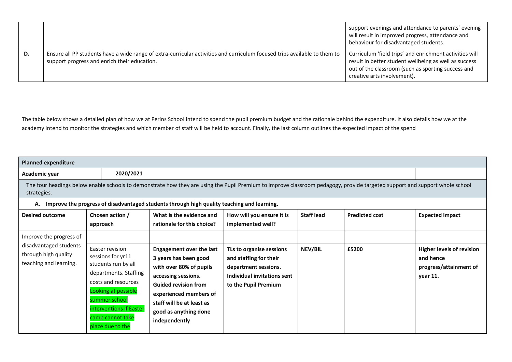|    |                                                                                                                                                                           | support evenings and attendance to parents' evening<br>will result in improved progress, attendance and<br>behaviour for disadvantaged students.                                                      |
|----|---------------------------------------------------------------------------------------------------------------------------------------------------------------------------|-------------------------------------------------------------------------------------------------------------------------------------------------------------------------------------------------------|
| D. | Ensure all PP students have a wide range of extra-curricular activities and curriculum focused trips available to them to<br>support progress and enrich their education. | Curriculum 'field trips' and enrichment activities will<br>result in better student wellbeing as well as success<br>out of the classroom (such as sporting success and<br>creative arts involvement). |

The table below shows a detailed plan of how we at Perins School intend to spend the pupil premium budget and the rationale behind the expenditure. It also details how we at the academy intend to monitor the strategies and which member of staff will be held to account. Finally, the last column outlines the expected impact of the spend

| <b>Planned expenditure</b>                                                                          |                                                                                                                                                                                                                        |                                                                                                                                                                                                                                            |                                                                                                                                   |                   |                       |                                                                                     |
|-----------------------------------------------------------------------------------------------------|------------------------------------------------------------------------------------------------------------------------------------------------------------------------------------------------------------------------|--------------------------------------------------------------------------------------------------------------------------------------------------------------------------------------------------------------------------------------------|-----------------------------------------------------------------------------------------------------------------------------------|-------------------|-----------------------|-------------------------------------------------------------------------------------|
| Academic year                                                                                       | 2020/2021                                                                                                                                                                                                              |                                                                                                                                                                                                                                            |                                                                                                                                   |                   |                       |                                                                                     |
| strategies.                                                                                         |                                                                                                                                                                                                                        | The four headings below enable schools to demonstrate how they are using the Pupil Premium to improve classroom pedagogy, provide targeted support and support whole school                                                                |                                                                                                                                   |                   |                       |                                                                                     |
| А.                                                                                                  |                                                                                                                                                                                                                        | Improve the progress of disadvantaged students through high quality teaching and learning.                                                                                                                                                 |                                                                                                                                   |                   |                       |                                                                                     |
| <b>Desired outcome</b>                                                                              | Chosen action /<br>approach                                                                                                                                                                                            | What is the evidence and<br>rationale for this choice?                                                                                                                                                                                     | How will you ensure it is<br>implemented well?                                                                                    | <b>Staff lead</b> | <b>Predicted cost</b> | <b>Expected impact</b>                                                              |
| Improve the progress of<br>disadvantaged students<br>through high quality<br>teaching and learning. | Easter revision<br>sessions for yr11<br>students run by all<br>departments. Staffing<br>costs and resources<br>Looking at possible<br>summer school<br>interventions if Easter<br>camp cannot take<br>place due to the | <b>Engagement over the last</b><br>3 years has been good<br>with over 80% of pupils<br>accessing sessions.<br><b>Guided revision from</b><br>experienced members of<br>staff will be at least as<br>good as anything done<br>independently | TLs to organise sessions<br>and staffing for their<br>department sessions.<br>Individual invitations sent<br>to the Pupil Premium | NEV/BIL           | £5200                 | <b>Higher levels of revision</b><br>and hence<br>progress/attainment of<br>year 11. |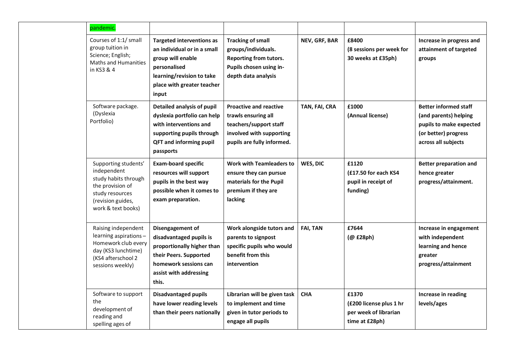| pandemic.                                                                                                                                     |                                                                                                                                                                          |                                                                                                                                          |                 |                                                                             |                                                                                                                                 |
|-----------------------------------------------------------------------------------------------------------------------------------------------|--------------------------------------------------------------------------------------------------------------------------------------------------------------------------|------------------------------------------------------------------------------------------------------------------------------------------|-----------------|-----------------------------------------------------------------------------|---------------------------------------------------------------------------------------------------------------------------------|
| Courses of 1:1/ small<br>group tuition in<br>Science; English;<br><b>Maths and Humanities</b><br>in KS3 & 4                                   | <b>Targeted interventions as</b><br>an individual or in a small<br>group will enable<br>personalised<br>learning/revision to take<br>place with greater teacher<br>input | <b>Tracking of small</b><br>groups/individuals.<br>Reporting from tutors.<br>Pupils chosen using in-<br>depth data analysis              | NEV, GRF, BAR   | £8400<br>(8 sessions per week for<br>30 weeks at £35ph)                     | Increase in progress and<br>attainment of targeted<br>groups                                                                    |
| Software package.<br>(Dyslexia<br>Portfolio)                                                                                                  | Detailed analysis of pupil<br>dyslexia portfolio can help<br>with interventions and<br>supporting pupils through<br><b>QFT and informing pupil</b><br>passports          | <b>Proactive and reactive</b><br>trawls ensuring all<br>teachers/support staff<br>involved with supporting<br>pupils are fully informed. | TAN, FAI, CRA   | £1000<br>(Annual license)                                                   | <b>Better informed staff</b><br>(and parents) helping<br>pupils to make expected<br>(or better) progress<br>across all subjects |
| Supporting students'<br>independent<br>study habits through<br>the provision of<br>study resources<br>(revision guides,<br>work & text books) | <b>Exam-board specific</b><br>resources will support<br>pupils in the best way<br>possible when it comes to<br>exam preparation.                                         | Work with Teamleaders to<br>ensure they can pursue<br>materials for the Pupil<br>premium if they are<br>lacking                          | WES, DIC        | £1120<br>(£17.50 for each KS4)<br>pupil in receipt of<br>funding)           | <b>Better preparation and</b><br>hence greater<br>progress/attainment.                                                          |
| Raising independent<br>learning aspirations-<br>Homework club every<br>day (KS3 lunchtime)<br>(KS4 afterschool 2<br>sessions weekly)          | Disengagement of<br>disadvantaged pupils is<br>proportionally higher than<br>their Peers. Supported<br>homework sessions can<br>assist with addressing<br>this.          | Work alongside tutors and<br>parents to signpost<br>specific pupils who would<br>benefit from this<br>intervention                       | <b>FAI, TAN</b> | £7644<br>(@ £28ph)                                                          | Increase in engagement<br>with independent<br>learning and hence<br>greater<br>progress/attainment                              |
| Software to support<br>the<br>development of<br>reading and<br>spelling ages of                                                               | <b>Disadvantaged pupils</b><br>have lower reading levels<br>than their peers nationally                                                                                  | Librarian will be given task<br>to implement and time<br>given in tutor periods to<br>engage all pupils                                  | <b>CHA</b>      | £1370<br>(£200 license plus 1 hr<br>per week of librarian<br>time at £28ph) | Increase in reading<br>levels/ages                                                                                              |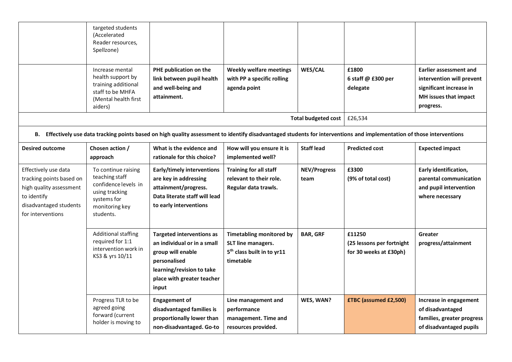|                                                                                                                                           | targeted students<br>(Accelerated<br>Reader resources,<br>Spellzone)                                                          |                                                                                                                                                                          |                                                                                                              |                             |                                                               |                                                                                                                             |
|-------------------------------------------------------------------------------------------------------------------------------------------|-------------------------------------------------------------------------------------------------------------------------------|--------------------------------------------------------------------------------------------------------------------------------------------------------------------------|--------------------------------------------------------------------------------------------------------------|-----------------------------|---------------------------------------------------------------|-----------------------------------------------------------------------------------------------------------------------------|
|                                                                                                                                           | Increase mental<br>health support by<br>training additional<br>staff to be MHFA<br>(Mental health first<br>aiders)            | PHE publication on the<br>link between pupil health<br>and well-being and<br>attainment.                                                                                 | <b>Weekly welfare meetings</b><br>with PP a specific rolling<br>agenda point                                 | <b>WES/CAL</b>              | £1800<br>6 staff @ £300 per<br>delegate                       | <b>Earlier assessment and</b><br>intervention will prevent<br>significant increase in<br>MH issues that impact<br>progress. |
|                                                                                                                                           |                                                                                                                               |                                                                                                                                                                          |                                                                                                              | <b>Total budgeted cost</b>  | £26,534                                                       |                                                                                                                             |
|                                                                                                                                           |                                                                                                                               | B. Effectively use data tracking points based on high quality assessment to identify disadvantaged students for interventions and implementation of those interventions  |                                                                                                              |                             |                                                               |                                                                                                                             |
| <b>Desired outcome</b>                                                                                                                    | Chosen action /<br>approach                                                                                                   | What is the evidence and<br>rationale for this choice?                                                                                                                   | How will you ensure it is<br>implemented well?                                                               | <b>Staff lead</b>           | <b>Predicted cost</b>                                         | <b>Expected impact</b>                                                                                                      |
| Effectively use data<br>tracking points based on<br>high quality assessment<br>to identify<br>disadvantaged students<br>for interventions | To continue raising<br>teaching staff<br>confidence levels in<br>using tracking<br>systems for<br>monitoring key<br>students. | Early/timely interventions<br>are key in addressing<br>attainment/progress.<br>Data literate staff will lead<br>to early interventions                                   | <b>Training for all staff</b><br>relevant to their role.<br>Regular data trawls.                             | <b>NEV/Progress</b><br>team | £3300<br>(9% of total cost)                                   | Early identification,<br>parental communication<br>and pupil intervention<br>where necessary                                |
|                                                                                                                                           | <b>Additional staffing</b><br>required for 1:1<br>intervention work in<br>KS3 & yrs 10/11                                     | <b>Targeted interventions as</b><br>an individual or in a small<br>group will enable<br>personalised<br>learning/revision to take<br>place with greater teacher<br>input | <b>Timetabling monitored by</b><br>SLT line managers.<br>5 <sup>th</sup> class built in to yr11<br>timetable | <b>BAR, GRF</b>             | £11250<br>(25 lessons per fortnight<br>for 30 weeks at £30ph) | Greater<br>progress/attainment                                                                                              |
|                                                                                                                                           | Progress TLR to be<br>agreed going<br>forward (current<br>holder is moving to                                                 | <b>Engagement of</b><br>disadvantaged families is<br>proportionally lower than<br>non-disadvantaged. Go-to                                                               | Line management and<br>performance<br>management. Time and<br>resources provided.                            | WES, WAN?                   | <b>£TBC</b> (assumed £2,500)                                  | Increase in engagement<br>of disadvantaged<br>families, greater progress<br>of disadvantaged pupils                         |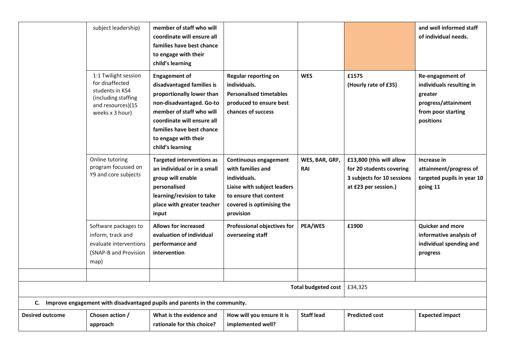|                            | subject leadership)                                                                                                       | member of staff who will<br>coordinate will ensure all<br>families have best chance<br>to engage with their<br>child's learning                                                                                                               |                                                                                                                                                                      |                       |                                                                                                            | and well informed staff<br>of individual needs.                                                                   |
|----------------------------|---------------------------------------------------------------------------------------------------------------------------|-----------------------------------------------------------------------------------------------------------------------------------------------------------------------------------------------------------------------------------------------|----------------------------------------------------------------------------------------------------------------------------------------------------------------------|-----------------------|------------------------------------------------------------------------------------------------------------|-------------------------------------------------------------------------------------------------------------------|
|                            | 1:1 Twilight session<br>for disaffected<br>students in KS4<br>(including staffing<br>and resources)(15<br>weeks x 3 hour) | <b>Engagement of</b><br>disadvantaged families is<br>proportionally lower than<br>non-disadvantaged. Go-to<br>member of staff who will<br>coordinate will ensure all<br>families have best chance<br>to engage with their<br>child's learning | <b>Regular reporting on</b><br>individuals.<br><b>Personalised timetables</b><br>produced to ensure best<br>chances of success                                       | <b>WES</b>            | £1575<br>(Hourly rate of £35)                                                                              | Re-engagement of<br>individuals resulting in<br>greater<br>progress/attainment<br>from poor starting<br>positions |
|                            | Online tutoring<br>program focussed on<br>Y9 and core subjects                                                            | <b>Targeted interventions as</b><br>an individual or in a small<br>group will enable<br>personalised<br>learning/revision to take<br>place with greater teacher<br>input                                                                      | <b>Continuous engagement</b><br>with families and<br>individuals.<br>Liaise with subject leaders<br>to ensure that content<br>covered is optimising the<br>provision | WES, BAR, GRF,<br>RAI | £13,800 (this will allow<br>for 20 students covering<br>3 subjects for 10 sessions<br>at £23 per session.) | Increase in<br>attainment/progress of<br>targeted pupils in year 10<br>going 11                                   |
|                            | Software packages to<br>inform, track and<br>evaluate interventions<br>(SNAP-B and Provision<br>map)                      | Allows for increased<br>evaluation of individual<br>performance and<br>intervention                                                                                                                                                           | Professional objectives for<br>overseeing staff                                                                                                                      | PEA/WES               | £1900                                                                                                      | <b>Quicker and more</b><br>informative analysis of<br>individual spending and<br>progress                         |
|                            |                                                                                                                           |                                                                                                                                                                                                                                               |                                                                                                                                                                      |                       |                                                                                                            |                                                                                                                   |
| <b>Total budgeted cost</b> |                                                                                                                           |                                                                                                                                                                                                                                               |                                                                                                                                                                      |                       | £34,325                                                                                                    |                                                                                                                   |
|                            |                                                                                                                           | C. Improve engagement with disadvantaged pupils and parents in the community.                                                                                                                                                                 |                                                                                                                                                                      |                       |                                                                                                            |                                                                                                                   |
| Desired outcome            | Chosen action /<br>approach                                                                                               | What is the evidence and<br>rationale for this choice?                                                                                                                                                                                        | How will you ensure it is<br>implemented well?                                                                                                                       | <b>Staff lead</b>     | <b>Predicted cost</b>                                                                                      | <b>Expected impact</b>                                                                                            |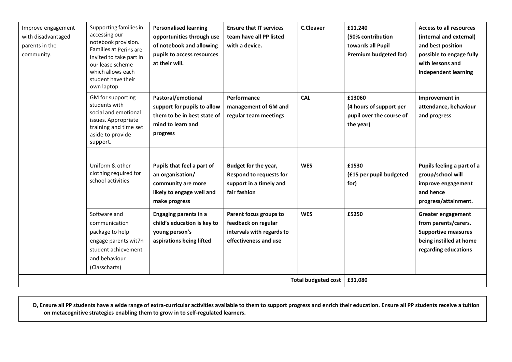| Improve engagement<br>with disadvantaged<br>parents in the<br>community. | Supporting families in<br>accessing our<br>notebook provision.<br>Families at Perins are<br>invited to take part in<br>our lease scheme<br>which allows each<br>student have their<br>own laptop. | <b>Personalised learning</b><br>opportunities through use<br>of notebook and allowing<br>pupils to access resources<br>at their will. | <b>Ensure that IT services</b><br>team have all PP listed<br>with a device.                         | <b>C.Cleaver</b> | £11,240<br>(50% contribution<br>towards all Pupil<br>Premium budgeted for) | <b>Access to all resources</b><br>(internal and external)<br>and best position<br>possible to engage fully<br>with lessons and<br>independent learning |
|--------------------------------------------------------------------------|---------------------------------------------------------------------------------------------------------------------------------------------------------------------------------------------------|---------------------------------------------------------------------------------------------------------------------------------------|-----------------------------------------------------------------------------------------------------|------------------|----------------------------------------------------------------------------|--------------------------------------------------------------------------------------------------------------------------------------------------------|
|                                                                          | GM for supporting<br>students with<br>social and emotional<br>issues. Appropriate<br>training and time set<br>aside to provide<br>support.                                                        | Pastoral/emotional<br>support for pupils to allow<br>them to be in best state of<br>mind to learn and<br>progress                     | Performance<br>management of GM and<br>regular team meetings                                        | <b>CAL</b>       | £13060<br>(4 hours of support per<br>pupil over the course of<br>the year) | Improvement in<br>attendance, behaviour<br>and progress                                                                                                |
|                                                                          | Uniform & other<br>clothing required for<br>school activities                                                                                                                                     | Pupils that feel a part of<br>an organisation/<br>community are more<br>likely to engage well and<br>make progress                    | Budget for the year,<br>Respond to requests for<br>support in a timely and<br>fair fashion          | <b>WES</b>       | £1530<br>(£15 per pupil budgeted<br>for)                                   | Pupils feeling a part of a<br>group/school will<br>improve engagement<br>and hence<br>progress/attainment.                                             |
|                                                                          | Software and<br>communication<br>package to help<br>engage parents wit7h<br>student achievement<br>and behaviour<br>(Classcharts)                                                                 | <b>Engaging parents in a</b><br>child's education is key to<br>young person's<br>aspirations being lifted                             | Parent focus groups to<br>feedback on regular<br>intervals with regards to<br>effectiveness and use | <b>WES</b>       | £5250                                                                      | <b>Greater engagement</b><br>from parents/carers.<br><b>Supportive measures</b><br>being instilled at home<br>regarding educations                     |
|                                                                          |                                                                                                                                                                                                   | Total budgeted cost                                                                                                                   | £31,080                                                                                             |                  |                                                                            |                                                                                                                                                        |

**D, Ensure all PP students have a wide range of extra-curricular activities available to them to support progress and enrich their education. Ensure all PP students receive a tuition on metacognitive strategies enabling them to grow in to self-regulated learners.**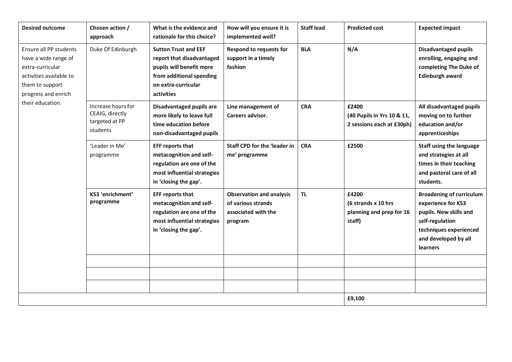| <b>Desired outcome</b>                                                                                                                                      | Chosen action /<br>approach                                         | What is the evidence and<br>rationale for this choice?                                                                                                | How will you ensure it is<br>implemented well?                                          | <b>Staff lead</b> | <b>Predicted cost</b>                                              | <b>Expected impact</b>                                                                                                                                           |
|-------------------------------------------------------------------------------------------------------------------------------------------------------------|---------------------------------------------------------------------|-------------------------------------------------------------------------------------------------------------------------------------------------------|-----------------------------------------------------------------------------------------|-------------------|--------------------------------------------------------------------|------------------------------------------------------------------------------------------------------------------------------------------------------------------|
| Ensure all PP students<br>have a wide range of<br>extra-curricular<br>activities available to<br>them to support<br>progress and enrich<br>their education. | Duke Of Edinburgh                                                   | <b>Sutton Trust and EEF</b><br>report that disadvantaged<br>pupils will benefit more<br>from additional spending<br>on extra-curricular<br>activities | <b>Respond to requests for</b><br>support in a timely<br>fashion                        | <b>BLA</b>        | N/A                                                                | <b>Disadvantaged pupils</b><br>enrolling, engaging and<br>completing The Duke of<br><b>Edinburgh award</b>                                                       |
|                                                                                                                                                             | Increase hours for<br>CEAIG, directly<br>targeted at PP<br>students | Disadvantaged pupils are<br>more likely to leave full<br>time education before<br>non-disadvantaged pupils                                            | Line management of<br>Careers advisor.                                                  | <b>CRA</b>        | £2400<br>(40 Pupils in Yrs 10 & 11,<br>2 sessions each at £30ph)   | All disadvantaged pupils<br>moving on to further<br>education and/or<br>apprenticeships                                                                          |
|                                                                                                                                                             | 'Leader in Me'<br>programme                                         | <b>EFF reports that</b><br>metacognition and self-<br>regulation are one of the<br>most influential strategies<br>in 'closing the gap'.               | <b>Staff CPD for the 'leader in</b><br>me' programme                                    | <b>CRA</b>        | £2500                                                              | Staff using the language<br>and strategies at all<br>times in their teaching<br>and pastoral care of all<br>students.                                            |
|                                                                                                                                                             | KS3 'enrichment'<br>programme                                       | <b>EFF reports that</b><br>metacognition and self-<br>regulation are one of the<br>most influential strategies<br>in 'closing the gap'.               | <b>Observation and analysis</b><br>of various strands<br>associated with the<br>program | <b>TL</b>         | £4200<br>(6 strands x 10 hrs<br>planning and prep for 16<br>staff) | <b>Broadening of curriculum</b><br>experience for KS3<br>pupils. New skills and<br>self-regulation<br>techniques experienced<br>and developed by all<br>learners |
|                                                                                                                                                             |                                                                     |                                                                                                                                                       |                                                                                         |                   |                                                                    |                                                                                                                                                                  |
|                                                                                                                                                             |                                                                     |                                                                                                                                                       |                                                                                         |                   |                                                                    |                                                                                                                                                                  |
|                                                                                                                                                             |                                                                     |                                                                                                                                                       | £9,100                                                                                  |                   |                                                                    |                                                                                                                                                                  |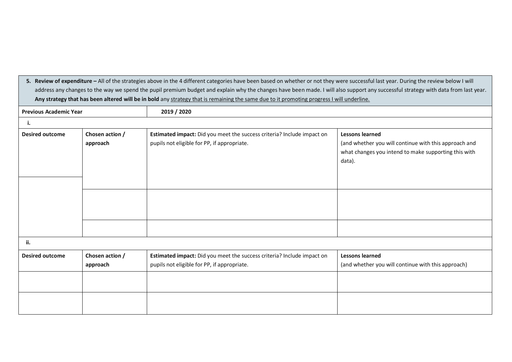|                               |                             | 5. Review of expenditure - All of the strategies above in the 4 different categories have been based on whether or not they were successful last year. During the review below I will<br>address any changes to the way we spend the pupil premium budget and explain why the changes have been made. I will also support any successful strategy with data from last year.<br>Any strategy that has been altered will be in bold any strategy that is remaining the same due to it promoting progress I will underline. |                                                                                                                                                   |  |  |  |
|-------------------------------|-----------------------------|--------------------------------------------------------------------------------------------------------------------------------------------------------------------------------------------------------------------------------------------------------------------------------------------------------------------------------------------------------------------------------------------------------------------------------------------------------------------------------------------------------------------------|---------------------------------------------------------------------------------------------------------------------------------------------------|--|--|--|
| <b>Previous Academic Year</b> | 2019 / 2020                 |                                                                                                                                                                                                                                                                                                                                                                                                                                                                                                                          |                                                                                                                                                   |  |  |  |
| i.                            |                             |                                                                                                                                                                                                                                                                                                                                                                                                                                                                                                                          |                                                                                                                                                   |  |  |  |
| <b>Desired outcome</b>        | Chosen action /<br>approach | Estimated impact: Did you meet the success criteria? Include impact on<br>pupils not eligible for PP, if appropriate.                                                                                                                                                                                                                                                                                                                                                                                                    | <b>Lessons learned</b><br>(and whether you will continue with this approach and<br>what changes you intend to make supporting this with<br>data). |  |  |  |
|                               |                             |                                                                                                                                                                                                                                                                                                                                                                                                                                                                                                                          |                                                                                                                                                   |  |  |  |
| ii.                           |                             |                                                                                                                                                                                                                                                                                                                                                                                                                                                                                                                          |                                                                                                                                                   |  |  |  |
| <b>Desired outcome</b>        | Chosen action /<br>approach | Estimated impact: Did you meet the success criteria? Include impact on<br>pupils not eligible for PP, if appropriate.                                                                                                                                                                                                                                                                                                                                                                                                    | <b>Lessons learned</b><br>(and whether you will continue with this approach)                                                                      |  |  |  |
|                               |                             |                                                                                                                                                                                                                                                                                                                                                                                                                                                                                                                          |                                                                                                                                                   |  |  |  |